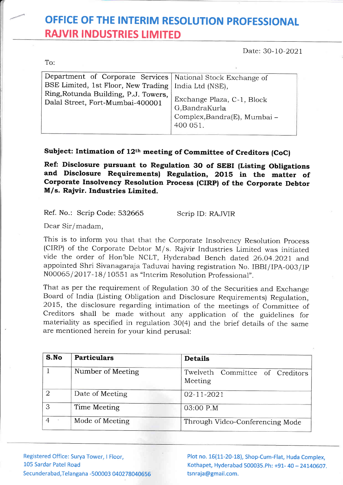## OFFICE OF THE INTERIM RESOLUTION PROFESSIONAL RAJVIR INDUSTRIES LIMITED

Date: 30-10-2021

To:

t

| Department of Corporate Services   National Stock Exchange of            |                                                                                         |
|--------------------------------------------------------------------------|-----------------------------------------------------------------------------------------|
| BSE Limited, 1st Floor, New Trading   India Ltd (NSE),                   |                                                                                         |
| Ring, Rotunda Building, P.J. Towers,<br>Dalal Street, Fort-Mumbai-400001 | Exchange Plaza, C-1, Block<br>G,BandraKurla<br>Complex, Bandra(E), Mumbai -<br>400 051. |

## Subject: Intimation of 12<sup>th</sup> meeting of Committee of Creditors (CoC)

Reft Disclosure pursuant to Regulation 3O of SEBI (Listing Obligations and Disclosure Requirements) Regulation, 2ols in the matter of Corporate Insolvency Resolution Process (CIRP) of the Corporate Debtor M/s. Rajvir. Industries Limited.

Ref. No.: Scrip Code: 532665

Scrip ID: RAJVIR

Dear Sir/madam,

This is to inform you that that the Corporate Insolvency Resolution Process (CIRP) of the Corporate Debtor M/s. Rajvir Industries Limited was initiated vide the order of Hon'ble NCLT, Hyderabad Bench dated 26.04.202I and appointed Shri Sivanagaraja Taduvai having registration No. IBBI/lPA-003/lp N00065/2017-18/10551 as "Interim Resolution Professional".

That as per the requirement of Regulation 30 of the Securities and Exchange Board of India (Listing Obligation and Disclosure Requirements) Regulation, 2OL5, the disclosure regarding intimation of the meetings of Committee of Creditors shall be made without any application of the guidelines for materiality as specified in regulation 30(4) and the brief details of the same are mentioned herein for your kind perusal:

| S.No           | <b>Particulars</b> | <b>Details</b>                             |
|----------------|--------------------|--------------------------------------------|
|                | Number of Meeting  | Twelveth Committee of Creditors<br>Meeting |
| ∩              | Date of Meeting    | $02 - 11 - 2021$                           |
| 3              | Time Meeting       | 03:00 P.M                                  |
| $\overline{4}$ | Mode of Meeting    | Through Video-Conferencing Mode            |

Registered Office: Surya Tower, I Floor, L05 Sardar Patel Road Secunderabad, Telangana -500003 040278040656

Plot no. 16(11-20-18), Shop-Cum-Flat, Huda Complex, Kothapet, Hyderabad 500035. Ph: +91- 40 - 24140607. tsnraja@gmail.com.